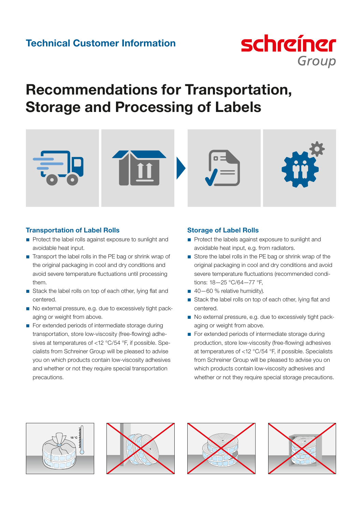

# Recommendations for Transportation, Storage and Processing of Labels



# Transportation of Label Rolls

- Protect the label rolls against exposure to sunlight and avoidable heat input.
- $\blacksquare$  Transport the label rolls in the PE bag or shrink wrap of the original packaging in cool and dry conditions and avoid severe temperature fluctuations until processing them.
- Stack the label rolls on top of each other, lying flat and centered.
- No external pressure, e.g. due to excessively tight packaging or weight from above.
- For extended periods of intermediate storage during transportation, store low-viscosity (free-flowing) adhesives at temperatures of <12 °C/54 °F, if possible. Specialists from Schreiner Group will be pleased to advise you on which products contain low-viscosity adhesives and whether or not they require special transportation precautions.

# Storage of Label Rolls

- Protect the labels against exposure to sunlight and avoidable heat input, e.g. from radiators.
- Store the label rolls in the PE bag or shrink wrap of the original packaging in cool and dry conditions and avoid severe temperature fluctuations (recommended conditions: 18—25 °C/64—77 °F,
- $\Box$  40–60 % relative humidity).
- Stack the label rolls on top of each other, lying flat and centered.
- No external pressure, e.g. due to excessively tight packaging or weight from above.
- For extended periods of intermediate storage during production, store low-viscosity (free-flowing) adhesives at temperatures of <12 °C/54 °F, if possible. Specialists from Schreiner Group will be pleased to advise you on which products contain low-viscosity adhesives and whether or not they require special storage precautions.







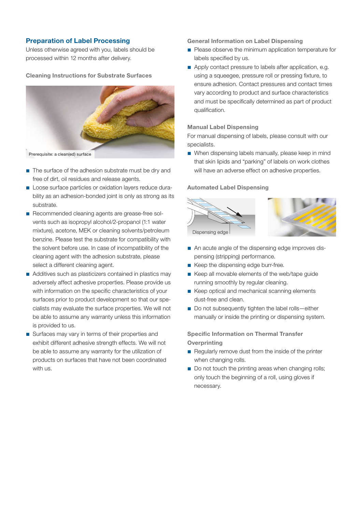## Preparation of Label Processing

Unless otherwise agreed with you, labels should be processed within 12 months after delivery.

#### Cleaning Instructions for Substrate Surfaces



Prerequisite: a clean(ed) surface

- $\blacksquare$  The surface of the adhesion substrate must be dry and free of dirt, oil residues and release agents.
- Loose surface particles or oxidation layers reduce durability as an adhesion-bonded joint is only as strong as its substrate.
- Recommended cleaning agents are grease-free solvents such as isopropyl alcohol/2-propanol (1:1 water mixture), acetone, MEK or cleaning solvents/petroleum benzine. Please test the substrate for compatibility with the solvent before use. In case of incompatibility of the cleaning agent with the adhesion substrate, please select a different cleaning agent.
- Additives such as plasticizers contained in plastics may adversely affect adhesive properties. Please provide us with information on the specific characteristics of your surfaces prior to product development so that our specialists may evaluate the surface properties. We will not be able to assume any warranty unless this information is provided to us.
- Surfaces may vary in terms of their properties and exhibit different adhesive strength effects. We will not be able to assume any warranty for the utilization of products on surfaces that have not been coordinated with us.

General Information on Label Dispensing

- **Please observe the minimum application temperature for** labels specified by us.
- Apply contact pressure to labels after application, e.g. using a squeegee, pressure roll or pressing fixture, to ensure adhesion. Contact pressures and contact times vary according to product and surface characteristics and must be specifically determined as part of product qualification.

#### Manual Label Dispensing

For manual dispensing of labels, please consult with our specialists.

When dispensing labels manually, please keep in mind that skin lipids and "parking" of labels on work clothes will have an adverse effect on adhesive properties.

#### Automated Label Dispensing



- An acute angle of the dispensing edge improves dispensing (stripping) performance.
- Keep the dispensing edge burr-free.
- Keep all movable elements of the web/tape guide running smoothly by regular cleaning.
- Keep optical and mechanical scanning elements dust-free and clean.
- Do not subsequently tighten the label rolls-either manually or inside the printing or dispensing system.

## Specific Information on Thermal Transfer **Overprinting**

- Regularly remove dust from the inside of the printer when changing rolls.
- Do not touch the printing areas when changing rolls; only touch the beginning of a roll, using gloves if necessary.